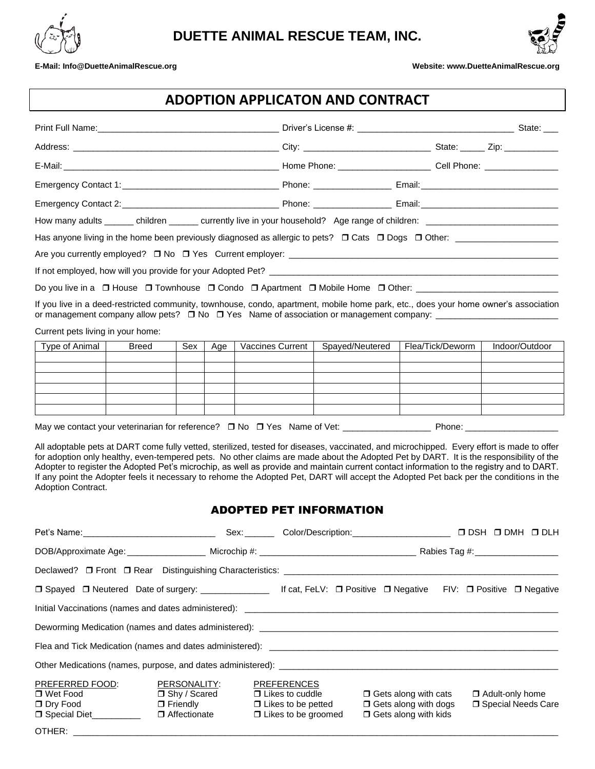



## **E-Mail[: Info@DuetteAnimalRescue.org](mailto:Info@DuetteAnimalRescue.org) Phone: (813) 765-9613 Website: www.DuetteAnimalRescue.org**

## **ADOPTION APPLICATON AND CONTRACT**

| Do you live in a □ House □ Townhouse □ Condo □ Apartment □ Mobile Home □ Other: ______________________________                                                                                                                                         |  |  |  |  |  |  |  |
|--------------------------------------------------------------------------------------------------------------------------------------------------------------------------------------------------------------------------------------------------------|--|--|--|--|--|--|--|
| If you live in a deed-restricted community, townhouse, condo, apartment, mobile home park, etc., does your home owner's association<br>or management company allow pets? □ No □ Yes Name of association or management company: _______________________ |  |  |  |  |  |  |  |
| Curront pote living in your homo:                                                                                                                                                                                                                      |  |  |  |  |  |  |  |

Current pets living in your home:

| Type of Animal | <b>Breed</b> | Sex | Age | Vaccines Current | Spayed/Neutered | Flea/Tick/Deworm | Indoor/Outdoor |
|----------------|--------------|-----|-----|------------------|-----------------|------------------|----------------|
|                |              |     |     |                  |                 |                  |                |
|                |              |     |     |                  |                 |                  |                |
|                |              |     |     |                  |                 |                  |                |
|                |              |     |     |                  |                 |                  |                |
|                |              |     |     |                  |                 |                  |                |
|                |              |     |     |                  |                 |                  |                |
|                |              |     |     |                  |                 |                  |                |

May we contact your veterinarian for reference? No Yes Name of Vet: \_\_\_\_\_\_\_\_\_\_\_\_\_\_\_\_\_\_ Phone: \_\_\_\_\_\_\_\_\_\_\_\_\_\_\_\_\_\_\_

All adoptable pets at DART come fully vetted, sterilized, tested for diseases, vaccinated, and microchipped. Every effort is made to offer for adoption only healthy, even-tempered pets. No other claims are made about the Adopted Pet by DART. It is the responsibility of the Adopter to register the Adopted Pet's microchip, as well as provide and maintain current contact information to the registry and to DART. If any point the Adopter feels it necessary to rehome the Adopted Pet, DART will accept the Adopted Pet back per the conditions in the Adoption Contract.

## ADOPTED PET INFORMATION

|                                                                                                                          |                                                                          |                                                                                                         | Sex: Color/Description: Color/Description:                                                | $\Box$ DSH $\Box$ DMH $\Box$ DLH               |
|--------------------------------------------------------------------------------------------------------------------------|--------------------------------------------------------------------------|---------------------------------------------------------------------------------------------------------|-------------------------------------------------------------------------------------------|------------------------------------------------|
|                                                                                                                          |                                                                          |                                                                                                         |                                                                                           |                                                |
|                                                                                                                          |                                                                          |                                                                                                         |                                                                                           |                                                |
| □ Spayed □ Neutered Date of surgery: ____________________ If cat, FeLV: □ Positive □ Negative FIV: □ Positive □ Negative |                                                                          |                                                                                                         |                                                                                           |                                                |
|                                                                                                                          |                                                                          |                                                                                                         |                                                                                           |                                                |
|                                                                                                                          |                                                                          |                                                                                                         |                                                                                           |                                                |
|                                                                                                                          |                                                                          |                                                                                                         |                                                                                           |                                                |
|                                                                                                                          |                                                                          |                                                                                                         |                                                                                           |                                                |
| PREFERRED FOOD:<br>□ Wet Food<br>$\Box$ Dry Food<br>□ Special Diet__________                                             | PERSONALITY:<br>□ Shy / Scared<br>$\Box$ Friendly<br>$\Box$ Affectionate | <b>PREFERENCES</b><br>$\Box$ Likes to cuddle<br>$\Box$ Likes to be petted<br>$\Box$ Likes to be groomed | $\Box$ Gets along with cats<br>$\Box$ Gets along with dogs<br>$\Box$ Gets along with kids | $\Box$ Adult-only home<br>□ Special Needs Care |
|                                                                                                                          |                                                                          |                                                                                                         |                                                                                           |                                                |